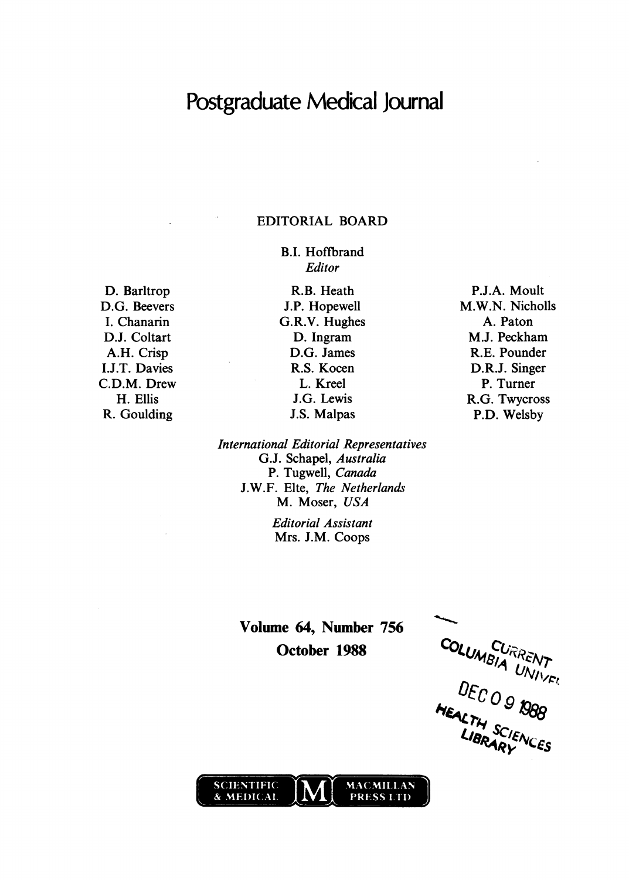# Postgraduate Medical Journal

## EDITORIAL BOARD

B.I. Hoffbrand Editor

D. Barltrop D.G. Beevers I. Chanarin D.J. Coltart A.H. Crisp I.J.T. Davies C.D.M. Drew H. Ellis R. Goulding

R.B. Heath J.P. Hopewell G.R.V. Hughes D. Ingram D.G. James R.S. Kocen L. Kreel J.G. Lewis J.S. Malpas

International Editorial Representatives G.J. Schapel, Australia P. Tugwell, Canada J.W.F. Elte, The Netherlands M. Moser, USA

> Editorial Assistant Mrs. J.M. Coops

Volume 64, Number 756 October 1988 COLUMBLAR

 $\Omega$ 



P.J.A. Moult M.W.N. Nicholls A. Paton M.J. Peckham R.E. Pounder D.R.J. Singer P. Turner R.G. Twycross P.D. Welsby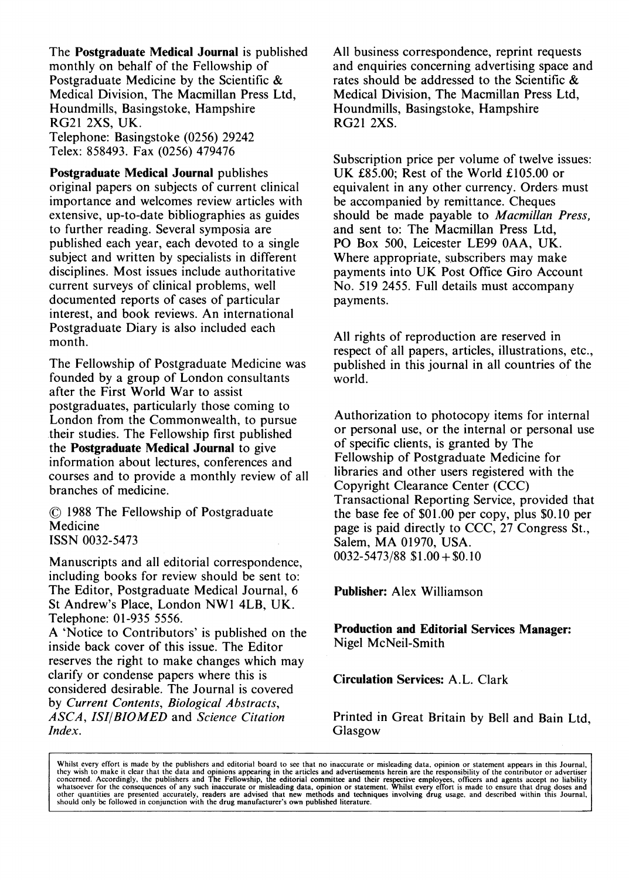The Postgraduate Medical Journal is published monthly on behalf of the Fellowship of Postgraduate Medicine by the Scientific & Medical Division, The Macmillan Press Ltd, Houndmills, Basingstoke, Hampshire RG21 2XS, UK. Telephone: Basingstoke (0256) 29242 Telex: 858493. Fax (0256) 479476

Postgraduate Medical Journal publishes original papers on subjects of current clinical importance and welcomes review articles with extensive, up-to-date bibliographies as guides to further reading. Several symposia are published each year, each devoted to a single subject and written by specialists in different disciplines. Most issues include authoritative current surveys of clinical problems, well documented reports of cases of particular interest, and book reviews. An international Postgraduate Diary is also included each month.

The Fellowship of Postgraduate Medicine was founded by a group of London consultants after the First World War to assist postgraduates, particularly those coming to London from the Commonwealth, to pursue their studies. The Fellowship first published the Postgraduate Medical Journal to give information about lectures, conferences and courses and to provide a monthly review of all branches of medicine.

1988 The Fellowship of Postgraduate Medicine ISSN 0032-5473

Manuscripts and all editorial correspondence, including books for review should be sent to: The Editor, Postgraduate Medical Journal, 6 St Andrew's Place, London NWI 4LB, UK. Telephone: 01-935 5556.

A 'Notice to Contributors' is published on the inside back cover of this issue. The Editor reserves the right to make changes which may clarify or condense papers where this is considered desirable. The Journal is covered by Current Contents, Biological Abstracts, ASCA, ISI/BIOMED and Science Citation Index.

All business correspondence, reprint requests and enquiries concerning advertising space and rates should be addressed to the Scientific & Medical Division, The Macmillan Press Ltd, Houndmills, Basingstoke, Hampshire RG21 2XS.

Subscription price per volume of twelve issues: UK £85.00; Rest of the World £105.00 or equivalent in any other currency. Orders must be accompanied by remittance. Cheques should be made payable to Macmillan Press, and sent to: The Macmillan Press Ltd, PO Box 500, Leicester LE99 OAA, UK. Where appropriate, subscribers may make payments into UK Post Office Giro Account No. 519 2455. Full details must accompany payments.

All rights of reproduction are reserved in respect of all papers, articles, illustrations, etc., published in this journal in all countries of the world.

Authorization to photocopy items for internal or personal use, or the internal or personal use of specific clients, is granted by The Fellowship of Postgraduate Medicine for libraries and other users registered with the Copyright Clearance Center (CCC) Transactional Reporting Service, provided that the base fee of \$01.00 per copy, plus \$0.10 per page is paid directly to CCC, 27 Congress St., Salem, MA 01970, USA.  $0032 - 5473/88$  \$1.00 + \$0.10

Publisher: Alex Williamson

Production and Editorial Services Manager: Nigel McNeil-Smith

Circulation Services: A.L. Clark

Printed in Great Britain by Bell and Bain Ltd, Glasgow

Whilst every effort is made by the publishers and editorial board to see that no inaccurate or misleading data, opinion or statement appears in this Journal, they wish to make it clear that the data and opinion of statemen other quantities are presented accurately, readers are advised that new methods and techniques involving drug usage, and described within this Journal,<br>should only be followed in conjunction with the drug manufacturer's ow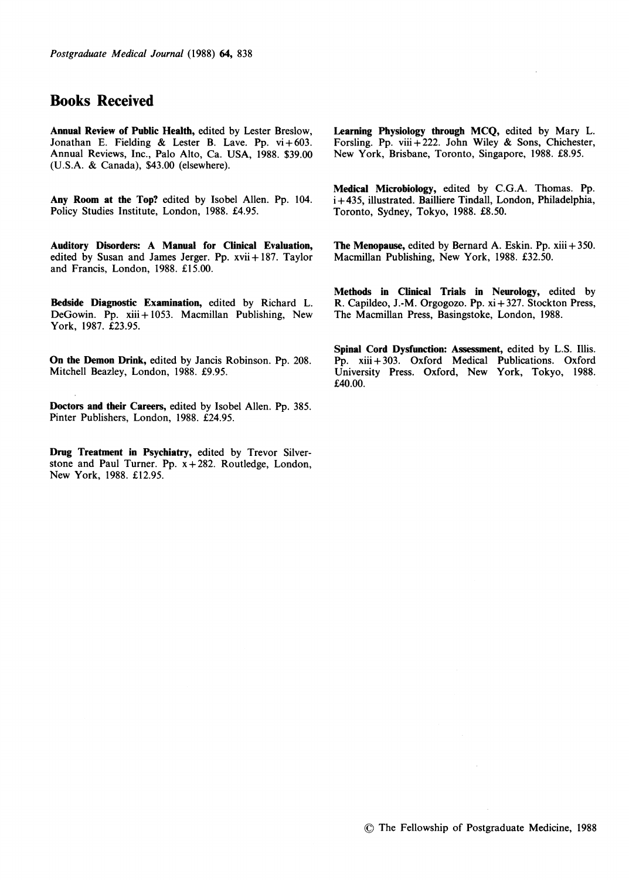## Books Received

Annual Review of Public Health, edited by Lester Breslow, Jonathan E. Fielding & Lester B. Lave. Pp.  $vi + 603$ . Annual Reviews, Inc., Palo Alto, Ca. USA, 1988. \$39.00 (U.S.A. & Canada), \$43.00 (elsewhere).

Any Room at the Top? edited by Isobel Allen. Pp. 104. Policy Studies Institute, London, 1988. £4.95.

Auditory Disorders: A Manual for Clinical Evaluation, edited by Susan and James Jerger. Pp. xvii + 187. Taylor and Francis, London, 1988. £15.00.

Bedside Diagnostic Examination, edited by Richard L. DeGowin. Pp. xiii + 1053. Macmillan Publishing, New York, 1987. £23.95.

On the Demon Drink, edited by Jancis Robinson. Pp. 208. Mitchell Beazley, London, 1988. £9.95.

Doctors and their Careers, edited by Isobel Allen. Pp. 385. Pinter Publishers, London, 1988. £24.95.

Drug Treatment in Psychiatry, edited by Trevor Silverstone and Paul Turner. Pp. x+282. Routledge, London, New York, 1988. £12.95.

Learning Physiology through MCQ, edited by Mary L. Forsling. Pp. viii + 222. John Wiley & Sons, Chichester, New York, Brisbane, Toronto, Singapore, 1988. £8.95.

Medical Microbiology, edited by C.G.A. Thomas. Pp. i+ 435, illustrated. Bailliere Tindall, London, Philadelphia, Toronto, Sydney, Tokyo, 1988. £8.50.

The Menopause, edited by Bernard A. Eskin. Pp. xiii + 350. Macmillan Publishing, New York, 1988. £32.50.

Methods in Clinical Trials in Neurology, edited by R. Capildeo, J.-M. Orgogozo. Pp. xi + 327. Stockton Press, The Macmillan Press, Basingstoke, London, 1988.

Spinal Cord Dysfunction: Assessment, edited by L.S. Illis. Pp. xiii + 303. Oxford Medical Publications. Oxford University Press. Oxford, New York, Tokyo, 1988. £40.00.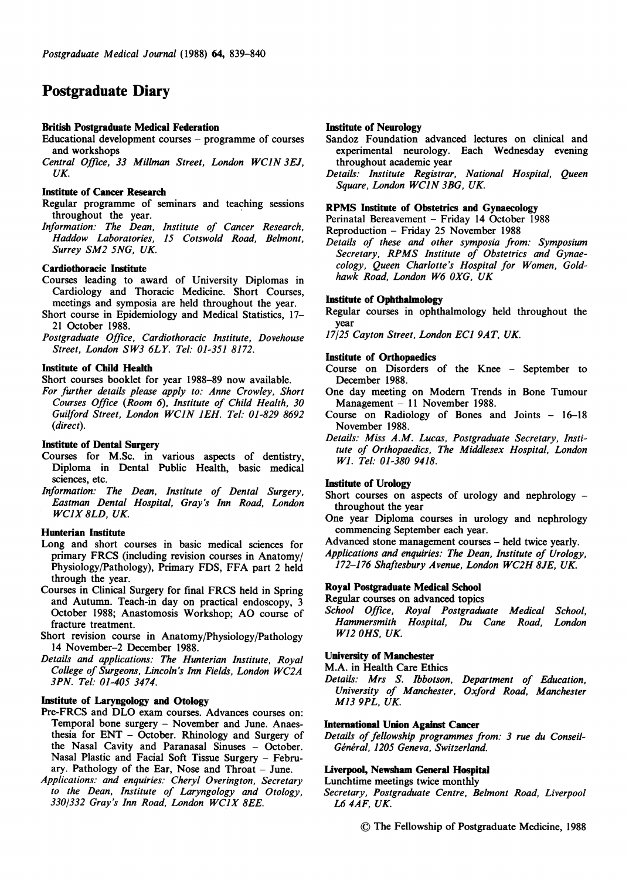## Postgraduate Diary

## British Postgraduate Medical Federation

- Educational development courses programme of courses and workshops
- Central Office, <sup>33</sup> Millman Street, London WCIN 3EJ, UK

## Institute of Cancer Research

- Regular programme of seminars and teaching sessions throughout the year.
- Information: The Dean, Institute of Cancer Research, Haddow Laboratories, 15 Cotswold Road, Belmont, Surrey SM2 5NG, UK.

## Cardiothoracic Institute

- Courses leading to award of University Diplomas in Cardiology and Thoracic Medicine. Short Courses, meetings and symposia are held throughout the year.
- Short course in Epidemiology and Medical Statistics, 17- 21 October 1988.
- Postgraduate Office, Cardiothoracic Institute, Dovehouse Street, London SW3 6LY. Tel: 01-351 8172.

## Institute of Child Health

Short courses booklet for year 1988-89 now available.

For further details please apply to: Anne Crowley, Short Courses Office (Room 6), Institute of Child Health, 30 Guilford Street, London WCIN JEH. Tel: 01-829 <sup>8692</sup> (direct).

#### Institute of Dental Surgery

- Courses for M.Sc. in various aspects of dentistry, Diploma in Dental Public Health, basic medical sciences, etc.
- Information: The Dean, Institute of Dental Surgery, Eastman Dental Hospital, Gray's Inn Road, London WCIX 8LD, UK.

## Hunterian Institute

- Long and short courses in basic medical sciences for primary FRCS (including revision courses in Anatomy/ Physiology/Pathology), Primary FDS, FFA part <sup>2</sup> held through the year.
- Courses in Clinical Surgery for final FRCS held in Spring and Autumn. Teach-in day on practical endoscopy, 3 October 1988; Anastomosis Workshop; AO course of fracture treatment.
- Short revision course in Anatomy/Physiology/Pathology 14 November-2 December 1988.
- Details and applications: The Hunterian Institute, Royal College of Surgeons, Lincoln's Inn Fields, London WC2A 3PN. Tel: 01-405 3474.

## Institute of Laryngology and Otology

- Pre-FRCS and DLO exam courses. Advances courses on: Temporal bone surgery - November and June. Anaesthesia for ENT - October. Rhinology and Surgery of the Nasal Cavity and Paranasal Sinuses - October. Nasal Plastic and Facial Soft Tissue Surgery - February. Pathology of the Ear, Nose and Throat - June.
- Applications: and enquiries: Cheryl Overington, Secretary to the Dean, Institute of Laryngology and Otology, 330/332 Gray's Inn Road, London WCIX 8EE.

## Institute of Neurology

- Sandoz Foundation advanced lectures on clinical and experimental neurology. Each Wednesday evening throughout academic year
- Details: Institute Registrar, National Hospital, Queen Square, London WCIN 3BG, UK.

#### RPMS Institute of Obstetrics and Gynaecology

Perinatal Bereavement - Friday 14 October 1988

Reproduction - Friday 25 November 1988

Details of these and other symposia from: Symposium Secretary, RPMS Institute of Obstetrics and Gynaecology, Queen Charlotte's Hospital for Women, Goldhawk Road, London W6 OXG, UK

## Institute of Ophthalmology

Regular courses in ophthalmology held throughout the year

17/25 Cayton Street, London EC1 9AT, UK.

#### Institute of Orthopaedics

- Course on Disorders of the Knee September to December 1988.
- One day meeting on Modem Trends in Bone Tumour Management - 11 November 1988.
- Course on Radiology of Bones and Joints 16-18 November 1988.
- Details: Miss A.M. Lucas, Postgraduate Secretary, Institute of Orthopaedics, The Middlesex Hospital, London Wl. Tel: 01-380 9418.

#### Institute of Urology

Short courses on aspects of urology and nephrology throughout the year

- One year Diploma courses in urology and nephrology commencing September each year.
- Advanced stone management courses held twice yearly.

Applications and enquiries: The Dean, Institute of Urology, 172-176 Shaftesbury Avenue, London WC2H 8JE, UK.

#### Royal Postgraduate Medical School

Regular courses on advanced topics

School Office, Royal Postgraduate Medical School, Hammersmith Hospital, Du Cane Road, London W12 OHS, UK.

## University of Manchester

M.A. in Health Care Ethics

Details: Mrs S. Ibbotson, Department of Education, University of Manchester, Oxford Road, Manchester M13 9PL, UK

#### International Union Against Cancer

Details of fellowship programmes from: 3 rue du Conseil-Général, 1205 Geneva, Switzerland.

#### Liverpool, Newsham General Hospital

Lunchtime meetings twice monthly

- Secretary, Postgraduate Centre, Belmont Road, Liverpool L6 4AF, UK
	- © The Fellowship of Postgraduate Medicine, <sup>1988</sup>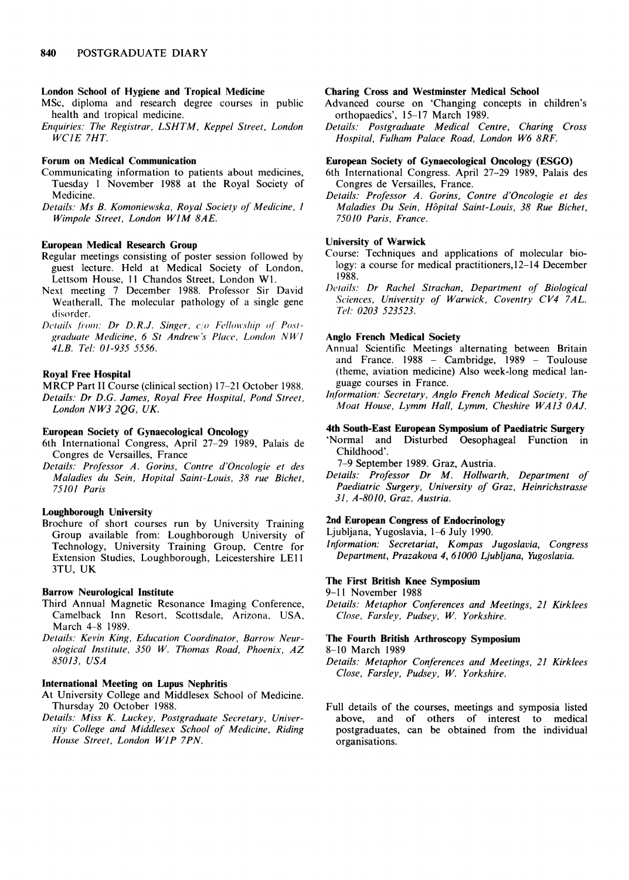## London School of Hygiene and Tropical Medicine

MSc, diploma and research degree courses in public health and tropical medicine.

Enquiries: The Registrar, LSHTM, Keppel Street, London WCIE 7HT.

#### Forum on Medical Communication

Communicating information to patients about medicines, Tuesday <sup>1</sup> November 1988 at the Royal Society of Medicine.

Details: Ms B. Komoniewska, Royal Society of Medicine, <sup>1</sup> Wimpole Street, London WJM 8AE.

## European Medical Research Group

- Regular meetings consisting of poster session followed by guest lecture. Held at Medical Society of London, Lettsom House, II Chandos Street, London WI.
- Next meeting 7 December 1988. Professor Sir David Weatherall, The molecular pathology of a single gene disorder.
- Details from: Dr D.R.J. Singer,  $c/\sigma$  Fellowship of Postgraduate Medicine, 6 St Andrew's Place, London NW1 4LB. Tel: 01-935 5556.

## Royal Free Hospital

MRCP Part II Course (clinical section) 17-21 October 1988. Details: Dr D.G. James, Royal Free Hospital, Pond Street, London NW3 2QG, UK.

## European Society of Gynaecological Oncology

- 6th International Congress, April 27-29 1989, Palais de Congres de Versailles, France
- Details: Professor A. Gorins, Contre d'Oncologie et des Maladies du Sein, Hopital Saint-Louis, 38 rue Bichet, 75101 Paris

## Loughborough University

Brochure of short courses run by University Training Group available from: Loughborough University of Technology, University Training Group, Centre for Extension Studies, Loughborough, Leicestershire LEl <sup>I</sup> 3TU, UK

## Barrow Neurological Institute

- Third Annual Magnetic Resonance Imaging Conference, Camelback Inn Resort, Scottsdale, Arizona, USA, March 4-8 1989.
- Details: Kevin King, Education Coordinator, Barrow Neurological Institute, <sup>350</sup> W. Thomas Road, Phoenix, AZ 85013, USA

## International Meeting on Lupus Nephritis

- At University College and Middlesex School of Medicine. Thursday 20 October 1988.
- Details: Miss K. Luckey, Postgraduate Secretary, University College and Middlesex School of Medicine, Riding House Street, London WIP 7PN.

#### Charing Cross and Westminster Medical School

- Advanced course on 'Changing concepts in children's orthopaedics', 15-17 March 1989.
- Details: Postgraduate Medical Centre, Charing Cross Hospital, Fulham Palace Road, London W6 8RF.

#### European Society of Gynaecological Oncology (ESGO)

- 6th International Congress. April 27-29 1989, Palais des Congres de Versailles, France.
- Details: Professor A. Gorins, Contre d'Oncologie et des Maladies Du Sein, Hopital Saint-Louis, 38 Rue Bichet, 75010 Paris, France.

## University of Warwick

- Course: Techniques and applications of molecular biology: a course for medical practitioners,12-14 December 1988.
- Details: Dr Rachel Strachan, Department of Biological Sciences, University of Warwick, Coventry CV4 7AL. Tel: 0203 523523.

## Anglo French Medical Society

- Annual Scientific Meetings alternating between Britain and France. 1988 - Cambridge, 1989 - Toulouse (theme, aviation medicine) Also week-long medical language courses in France.
- Information: Secretary, Anglo French Medical Society, The Moat House, Lymm Hall, Lymm, Cheshire WA13 OAJ.

#### 4th South-East European Symposium of Paediatric Surgery

'Normal and Disturbed Oesophageal Function in Childhood'.

7-9 September 1989. Graz, Austria.

Details: Professor Dr M. Hollwarth, Department of Paediatric Surgery, University of Graz, Heinrichstrasse 31, A-8010, Graz, Austria.

#### 2nd European Congress of Endocrinology

Ljubljana, Yugoslavia, 1-6 July 1990.

Information: Secretariat, Kompas Jugoslavia, Congress Department, Prazakova 4, 61000 Ljubljana, Yugoslavia.

## The First British Knee Symposium

9-11 November 1988

Details: Metaphor Conferences and Meetings, 21 Kirklees Close, Farsley, Pudsey, W. Yorkshire.

## The Fourth British Arthroscopy Symposium

8-10 March 1989

Full details of the courses, meetings and symposia listed above, and of others of interest to medical postgraduates, can be obtained from the individual organisations.

Details: Metaphor Conferences and Meetings, 21 Kirklees Close, Farsley, Pudsey, W. Yorkshire.